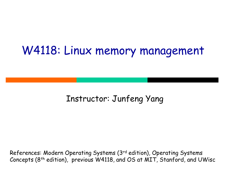#### W4118: Linux memory management

#### Instructor: Junfeng Yang

References: Modern Operating Systems (3rd edition), Operating Systems Concepts (8<sup>th</sup> edition), previous W4118, and OS at MIT, Stanford, and UWisc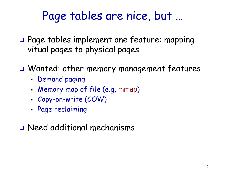## Page tables are nice, but …

- Page tables implement one feature: mapping vitual pages to physical pages
- Wanted: other memory management features
	- **-** Demand paging
	- Memory map of file (e.g, mmap)
	- Copy-on-write (COW)
	- Page reclaiming

Need additional mechanisms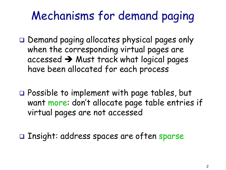# Mechanisms for demand paging

- $\Box$  Demand paging allocates physical pages only when the corresponding virtual pages are accessed  $\rightarrow$  Must track what logical pages have been allocated for each process
- □ Possible to implement with page tables, but want more: don't allocate page table entries if virtual pages are not accessed

Insight: address spaces are often sparse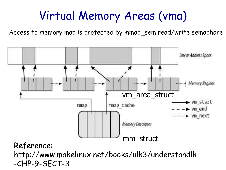# Virtual Memory Areas (vma)

Access to memory map is protected by mmap\_sem read/write semaphore



-CHP-9-SECT-3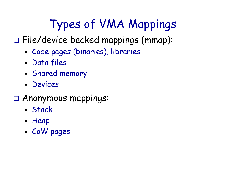# Types of VMA Mappings

File/device backed mappings (mmap):

- Code pages (binaries), libraries
- Data files
- Shared memory
- Devices
- Anonymous mappings:
	- Stack
	- Heap
	- CoW pages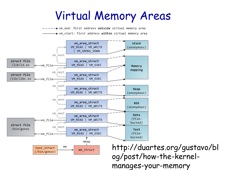#### Virtual Memory Areas

→ vm end: first address outside virtual memory area → vm start: first address within virtual memory area

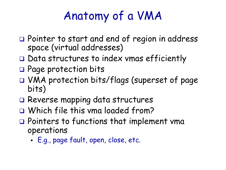# Anatomy of a VMA

- □ Pointer to start and end of region in address space (virtual addresses)
- $\Box$  Data structures to index vmas efficiently
- □ Page protection bits
- VMA protection bits/flags (superset of page bits)
- Reverse mapping data structures
- Which file this vma loaded from?
- □ Pointers to functions that implement vma operations
	- E.g., page fault, open, close, etc.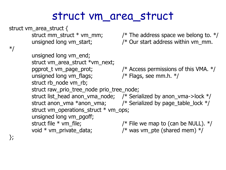#### struct vm\_area\_struct

```
struct vm_area_struct {
*/
```
unsigned long vm\_end;

struct rb\_node vm\_rb;

struct vm\_area\_struct \*vm\_next;

struct mm\_struct  $*$  vm\_mm;  $/$  /\* The address space we belong to.  $*/$ unsigned long vm\_start;  $\frac{1}{2}$  /\* Our start address within vm\_mm.

pgprot\_t vm\_page\_prot;  $/$  Access permissions of this VMA.  $*/$ unsigned long vm\_flags;  $\frac{1}{2}$  /\* Flags, see mm.h.  $\frac{1}{2}$ /

struct raw\_prio\_tree\_node prio\_tree\_node; struct list\_head anon\_vma\_node; /\* Serialized by anon\_vma->lock \*/ struct anon\_vma  $*$ anon\_vma;  $\frac{1}{2}$  /\* Serialized by page\_table\_lock  $*$ / struct vm\_operations\_struct \* vm\_ops; unsigned long vm\_pgoff; struct file  $*$  vm\_file;  $\frac{1}{2}$  /\* File we map to (can be NULL).  $*/$ void  $*$  vm\_private\_data;  $\frac{1}{2}$  /\* was vm\_pte (shared mem)  $*$ /

};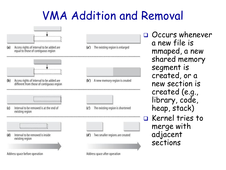# VMA Addition and Removal



**OCCURS whenever** a new file is mmaped, a new shared memory segment is created, or a new section is created (e.g., library, code, heap, stack) Rernel tries to merge with adjacent sections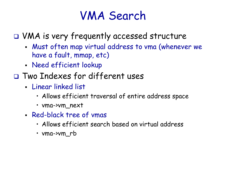### VMA Search

VMA is very frequently accessed structure

- Must often map virtual address to vma (whenever we have a fault, mmap, etc)
- Need efficient lookup
- Two Indexes for different uses
	- Linear linked list
		- Allows efficient traversal of entire address space
		- vma->vm\_next
	- Red-black tree of vmas
		- Allows efficient search based on virtual address
		- vma->vm\_rb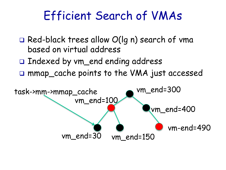### Efficient Search of VMAs

- $\Box$  Red-black trees allow  $O(\Box g n)$  search of vma based on virtual address
- □ Indexed by vm\_end ending address
- □ mmap\_cache points to the VMA just accessed

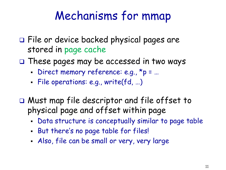# Mechanisms for mmap

- File or device backed physical pages are stored in page cache
- $\square$  These pages may be accessed in two ways
	- Direct memory reference: e.g., \*p = ...
	- File operations: e.g., write(fd, …)
- Must map file descriptor and file offset to physical page and offset within page
	- Data structure is conceptually similar to page table
	- But there's no page table for files!
	- Also, file can be small or very, very large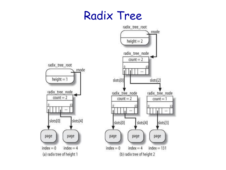#### Radix Tree

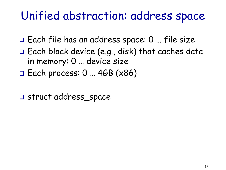#### Unified abstraction: address space

- Each file has an address space: 0 … file size
- $\Box$  Each block device (e.g., disk) that caches data in memory: 0 … device size
- $\Box$  Each process: 0 ... 4GB ( $\times$ 86)
- struct address\_space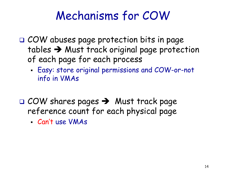## Mechanisms for COW

- □ COW abuses page protection bits in page tables  $\rightarrow$  Must track original page protection of each page for each process
	- Easy: store original permissions and COW-or-not info in VMAs
- $\Box$  COW shares pages  $\rightarrow$  Must track page reference count for each physical page
	- Can't use VMAs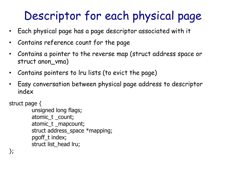# Descriptor for each physical page

- Each physical page has a page descriptor associated with it
- Contains reference count for the page
- Contains a pointer to the reverse map (struct address space or struct anon\_vma)
- Contains pointers to lru lists (to evict the page)
- Easy conversation between physical page address to descriptor index

struct page {

```
unsigned long flags;
atomic_t _count;
atomic_t _mapcount;
struct address_space *mapping;
pgoff_t index;
struct list_head lru;
```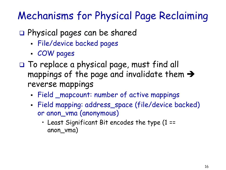#### Mechanisms for Physical Page Reclaiming

- Physical pages can be shared
	- File/device backed pages
	- COW pages
- $\square$  To replace a physical page, must find all mappings of the page and invalidate them  $\rightarrow$ reverse mappings
	- Field \_mapcount: number of active mappings
	- Field mapping: address\_space (file/device backed) or anon\_vma (anonymous)
		- Least Significant Bit encodes the type (1 == anon\_vma)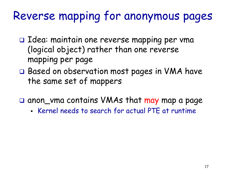# Reverse mapping for anonymous pages

- $\Box$  Idea: maintain one reverse mapping per vma (logical object) rather than one reverse mapping per page
- □ Based on observation most pages in VMA have the same set of mappers
- □ anon\_vma contains VMAs that may map a page
	- Kernel needs to search for actual PTE at runtime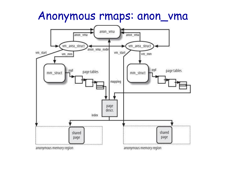#### Anonymous rmaps: anon\_vma

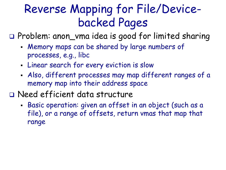## Reverse Mapping for File/Devicebacked Pages

Problem: anon\_vma idea is good for limited sharing

- Memory maps can be shared by large numbers of processes, e.g., libc
- Linear search for every eviction is slow
- Also, different processes may map different ranges of a memory map into their address space
- Need efficient data structure
	- Basic operation: given an offset in an object (such as a file), or a range of offsets, return vmas that map that range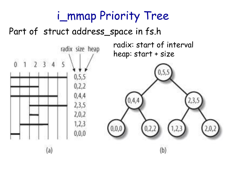## i\_mmap Priority Tree

#### Part of struct address\_space in fs.h

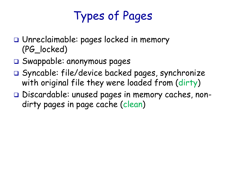# Types of Pages

- Unreclaimable: pages locked in memory (PG\_locked)
- Swappable: anonymous pages
- Syncable: file/device backed pages, synchronize with original file they were loaded from (dirty)
- Discardable: unused pages in memory caches, nondirty pages in page cache (clean)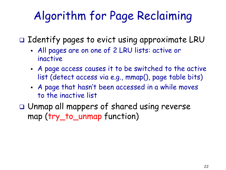# Algorithm for Page Reclaiming

 $\Box$  Identify pages to evict using approximate LRU

- All pages are on one of 2 LRU lists: active or inactive
- A page access causes it to be switched to the active list (detect access via e.g., mmap(), page table bits)
- A page that hasn't been accessed in a while moves to the inactive list
- Unmap all mappers of shared using reverse map (try\_to\_unmap function)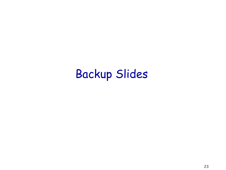## Backup Slides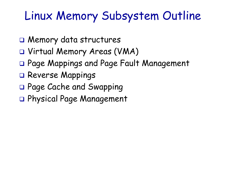## Linux Memory Subsystem Outline

- Memory data structures
- Virtual Memory Areas (VMA)
- Page Mappings and Page Fault Management
- □ Reverse Mappings
- Page Cache and Swapping
- Physical Page Management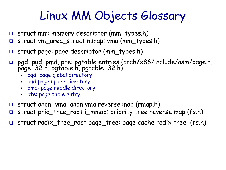# Linux MM Objects Glossary

- struct mm: memory descriptor (mm\_types.h)
- struct vm\_area\_struct mmap: vma (mm\_types.h)
- struct page: page descriptor (mm\_types.h)
- pgd, pud, pmd, pte: pgtable entries (arch/x86/include/asm/page.h, page\_32.h, pgtable.h, pgtable\_32.h)
	- pgd: page global directory
	- pud page upper directory
	- pmd: page middle directory
	- pte: page table entry
- struct anon\_vma: anon vma reverse map (rmap.h)
- struct prio\_tree\_root i\_mmap: priority tree reverse map (fs.h)
- struct radix\_tree\_root page\_tree: page cache radix tree (fs.h)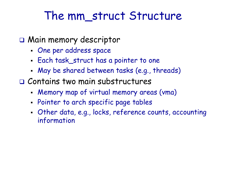#### The mm struct Structure

- Main memory descriptor
	- One per address space
	- Each task\_struct has a pointer to one
	- May be shared between tasks (e.g., threads)
- Contains two main substructures
	- Memory map of virtual memory areas (vma)
	- Pointer to arch specific page tables
	- Other data, e.g., locks, reference counts, accounting information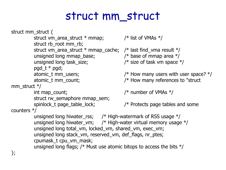#### struct mm\_struct

struct mm\_struct { struct vm\_area\_struct  $*$  mmap;  $/*$  list of VMAs  $*/$ struct rb root mm rb; struct vm\_area\_struct  $*$  mmap\_cache; / $*$  last find\_vma result  $*/$ unsigned long mmap\_base;  $\frac{1}{2}$  /\* base of mmap area  $\frac{1}{2}$ / unsigned long task\_size;  $\frac{1}{2}$  /\* size of task vm space  $\frac{1}{2}$ pgd\_t \* pgd; atomic t mm users;  $/$  /\* How many users with user space?  $*/$ atomic\_t mm\_count; /\* How many references to "struct mm struct  $*/$ int map count;  $/$  /\* number of VMAs  $*/$ struct rw\_semaphore mmap\_sem; spinlock t page table lock;  $/$  /\* Protects page tables and some counters \*/ unsigned long hiwater\_rss;  $\frac{1}{2}$  /\* High-watermark of RSS usage  $\frac{1}{2}$ / unsigned long hiwater\_vm;  $\frac{1}{2}$  High-water virtual memory usage  $\frac{1}{2}$ unsigned long total\_vm, locked\_vm, shared\_vm, exec\_vm; unsigned long stack vm, reserved vm, def flags, nr ptes; cpumask\_t cpu\_vm\_mask; unsigned long flags;  $\frac{1}{2}$  Must use atomic bitops to access the bits  $\frac{1}{2}$ 

};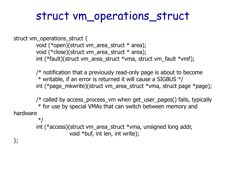#### struct vm\_operations\_struct

struct vm\_operations\_struct {

void (\*open)(struct vm\_area\_struct \* area); void (\*close)(struct vm\_area\_struct \* area); int (\*fault)(struct vm\_area\_struct \*vma, struct vm\_fault \*vmf);

 $/*$  notification that a previously read-only page is about to become  $*$  writable, if an error is returned it will cause a SIGBUS  $*/$ int (\*page\_mkwrite)(struct vm\_area\_struct \*vma, struct page \*page);

/\* called by access\_process\_vm when get\_user\_pages() fails, typically \* for use by special VMAs that can switch between memory and hardware \*/

> int (\*access)(struct vm\_area\_struct \*vma, unsigned long addr, void \*buf, int len, int write);

};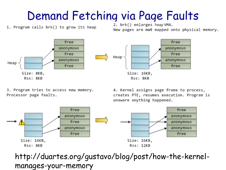#### Demand Fetching via Page Faults

1. Program calls brk() to grow its heap

2. brk() enlarges heap VMA.

New pages are not mapped onto physical memory.



3. Program tries to access new memory. Processor page faults.

4. Kernel assigns page frame to process, creates PTE, resumes execution. Program is unaware anything happened.



http://duartes.org/gustavo/blog/post/how-the-kernelmanages-your-memory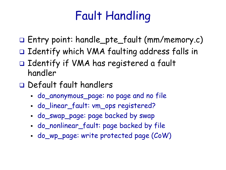# Fault Handling

- Entry point: handle\_pte\_fault (mm/memory.c)
- □ Identify which VMA faulting address falls in
- Identify if VMA has registered a fault handler
- Default fault handlers
	- do\_anonymous\_page: no page and no file
	- do\_linear\_fault: vm\_ops registered?
	- do\_swap\_page: page backed by swap
	- do\_nonlinear\_fault: page backed by file
	- do\_wp\_page: write protected page (CoW)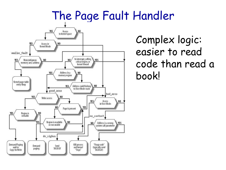#### The Page Fault Handler



Complex logic: easier to read code than read a book!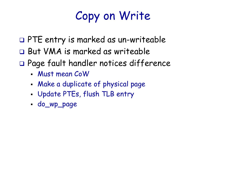# Copy on Write

- PTE entry is marked as un-writeable
- But VMA is marked as writeable
- Page fault handler notices difference
	- Must mean CoW
	- Make a duplicate of physical page
	- Update PTEs, flush TLB entry
	- do\_wp\_page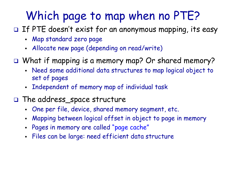# Which page to map when no PTE?

- $\Box$  If PTE doesn't exist for an anonymous mapping, its easy
	- Map standard zero page
	- Allocate new page (depending on read/write)
- What if mapping is a memory map? Or shared memory?
	- Need some additional data structures to map logical object to set of pages
	- Independent of memory map of individual task
- The address\_space structure
	- One per file, device, shared memory segment, etc.
	- Mapping between logical offset in object to page in memory
	- Pages in memory are called "page cache"
	- Files can be large: need efficient data structure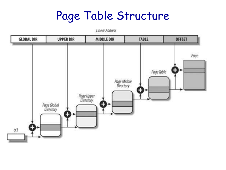#### Page Table Structure



**Linear Address**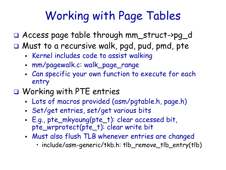# Working with Page Tables

Access page table through mm\_struct->pg\_d

- □ Must to a recursive walk, pgd, pud, pmd, pte
	- **Kernel includes code to assist walking**
	- mm/pagewalk.c: walk\_page\_range
	- Can specific your own function to execute for each entry
- O Working with PTE entries
	- Lots of macros provided (asm/pgtable.h, page.h)
	- Set/get entries, set/get various bits
	- E.g., pte\_mkyoung(pte\_t): clear accessed bit, pte\_wrprotect(pte\_t): clear write bit
	- Must also flush TLB whenever entries are changed
		- include/asm-generic/tkb.h: tlb\_remove\_tlb\_entry(tlb)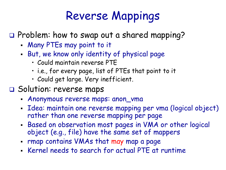# Reverse Mappings

 $\square$  Problem: how to swap out a shared mapping?

- Many PTEs may point to it
- But, we know only identity of physical page
	- Could maintain reverse PTE
	- i.e., for every page, list of PTEs that point to it
	- Could get large. Very inefficient.
- Solution: reverse maps
	- Anonymous reverse maps: anon\_vma
	- Idea: maintain one reverse mapping per vma (logical object) rather than one reverse mapping per page
	- Based on observation most pages in VMA or other logical object (e.g., file) have the same set of mappers
	- rmap contains VMAs that may map a page
	- Kernel needs to search for actual PTE at runtime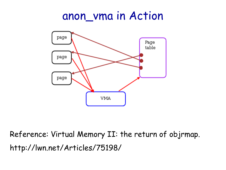#### anon\_vma in Action



Reference: Virtual Memory II: the return of objrmap. http://lwn.net/Articles/75198/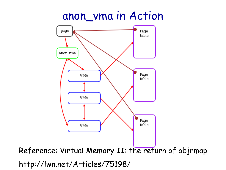#### anon\_vma in Action



http://lwn.net/Articles/75198/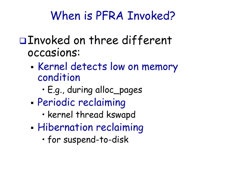# When is PFRA Invoked?

#### Invoked on three different occasions:

- Kernel detects low on memory condition
	- E.g., during alloc\_pages
- Periodic reclaiming
	- kernel thread kswapd
- **Hibernation reclaiming** 
	- for suspend-to-disk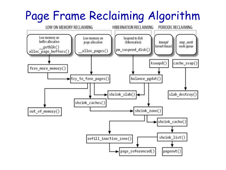# Page Frame Reclaiming Algorithm

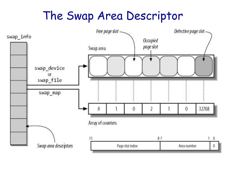#### The Swap Area Descriptor

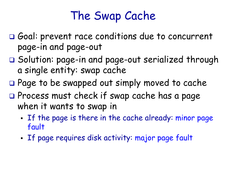# The Swap Cache

- Goal: prevent race conditions due to concurrent page-in and page-out
- Solution: page-in and page-out serialized through a single entity: swap cache
- □ Page to be swapped out simply moved to cache
- $\square$  Process must check if swap cache has a page when it wants to swap in
	- If the page is there in the cache already: minor page fault
	- **If page requires disk activity: major page fault**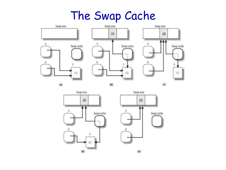#### The Swap Cache



Swap area  $(2)$ Swap cache B  $(d)$ 

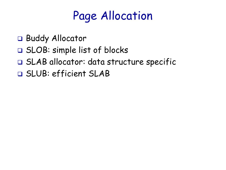# Page Allocation

- □ Buddy Allocator
- SLOB: simple list of blocks
- SLAB allocator: data structure specific
- SLUB: efficient SLAB